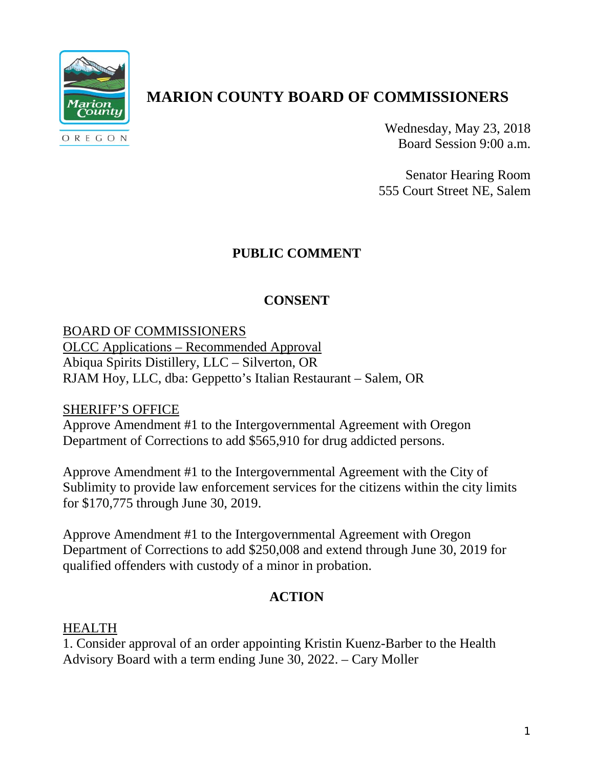

# **MARION COUNTY BOARD OF COMMISSIONERS**

Wednesday, May 23, 2018 Board Session 9:00 a.m.

Senator Hearing Room 555 Court Street NE, Salem

## **PUBLIC COMMENT**

## **CONSENT**

BOARD OF COMMISSIONERS OLCC Applications – Recommended Approval Abiqua Spirits Distillery, LLC – Silverton, OR RJAM Hoy, LLC, dba: Geppetto's Italian Restaurant – Salem, OR

### SHERIFF'S OFFICE

Approve Amendment #1 to the Intergovernmental Agreement with Oregon Department of Corrections to add \$565,910 for drug addicted persons.

Approve Amendment #1 to the Intergovernmental Agreement with the City of Sublimity to provide law enforcement services for the citizens within the city limits for \$170,775 through June 30, 2019.

Approve Amendment #1 to the Intergovernmental Agreement with Oregon Department of Corrections to add \$250,008 and extend through June 30, 2019 for qualified offenders with custody of a minor in probation.

### **ACTION**

#### HEALTH

1. Consider approval of an order appointing Kristin Kuenz-Barber to the Health Advisory Board with a term ending June 30, 2022. – Cary Moller